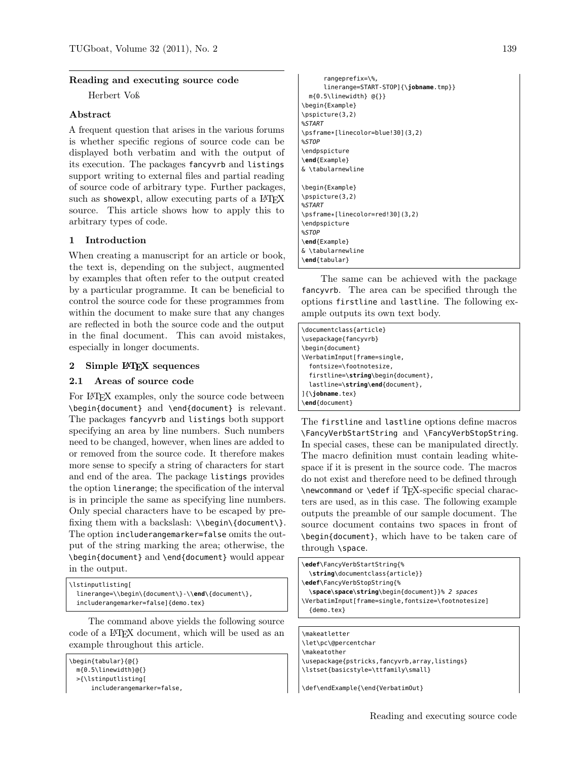### Reading and executing source code

Herbert Voß

# Abstract

A frequent question that arises in the various forums is whether specific regions of source code can be displayed both verbatim and with the output of its execution. The packages fancyvrb and listings support writing to external files and partial reading of source code of arbitrary type. Further packages, such as showexpl, allow executing parts of a  $LATFX$ source. This article shows how to apply this to arbitrary types of code.

# 1 Introduction

When creating a manuscript for an article or book, the text is, depending on the subject, augmented by examples that often refer to the output created by a particular programme. It can be beneficial to control the source code for these programmes from within the document to make sure that any changes are reflected in both the source code and the output in the final document. This can avoid mistakes, especially in longer documents.

### 2 Simple LAT<sub>EX</sub> sequences

### 2.1 Areas of source code

For LATEX examples, only the source code between \begin{document} and \end{document} is relevant. The packages fancyvrb and listings both support specifying an area by line numbers. Such numbers need to be changed, however, when lines are added to or removed from the source code. It therefore makes more sense to specify a string of characters for start and end of the area. The package listings provides the option linerange; the specification of the interval is in principle the same as specifying line numbers. Only special characters have to be escaped by prefixing them with a backslash: \\begin\{document\}. The option includerangemarker=false omits the output of the string marking the area; otherwise, the \begin{document} and \end{document} would appear in the output.

\lstinputlisting[ linerange=\\begin\{document\}-\\**end**\{document\}, includerangemarker=false]{demo.tex}

The command above yields the following source code of a LATEX document, which will be used as an example throughout this article.

```
\begin{tabular}{@{}
 m{0.5\linewidth}@{}
 >{\lstinputlisting[
```

```
includerangemarker=false,
```
rangeprefix=\%, linerange=START-STOP]{\**jobname**.tmp}} m{0.5\linewidth} @{}} \begin{Example} \pspicture(3,2) %START \psframe\*[linecolor=blue!30](3,2) %STOP \endpspicture \**end**{Example} & \tabularnewline \begin{Example} \pspicture(3,2) %START \psframe\*[linecolor=red!30](3,2) \endpspicture %STOP \**end**{Example} & \tabularnewline \**end**{tabular}

The same can be achieved with the package fancyvrb. The area can be specified through the options firstline and lastline. The following example outputs its own text body.

| \documentclass{article}            |
|------------------------------------|
| \usepackage{fancyvrb}              |
| \begin{document}                   |
| \VerbatimInput[frame=single,       |
| fontsize=\footnotesize,            |
| firstline=\string\begin{document}, |
| lastline=\string\end{document},    |
| $\{\{\text{jobname.tex}\}\$        |
| \end{document}                     |

The firstline and lastline options define macros \FancyVerbStartString and \FancyVerbStopString. In special cases, these can be manipulated directly. The macro definition must contain leading whitespace if it is present in the source code. The macros do not exist and therefore need to be defined through \newcommand or \edef if TEX-specific special characters are used, as in this case. The following example outputs the preamble of our sample document. The source document contains two spaces in front of \begin{document}, which have to be taken care of through \space.

\**edef**\FancyVerbStartString{% \**string**\documentclass{article}} \**edef**\FancyVerbStopString{% \**space**\**space**\**string**\begin{document}}% 2 spaces \VerbatimInput[frame=single,fontsize=\footnotesize] {demo.tex}

\makeatletter \let\pc\@percentchar \makeatother \usepackage{pstricks,fancyvrb,array,listings} \lstset{basicstyle=\ttfamily\small}

\def\endExample{\end{VerbatimOut}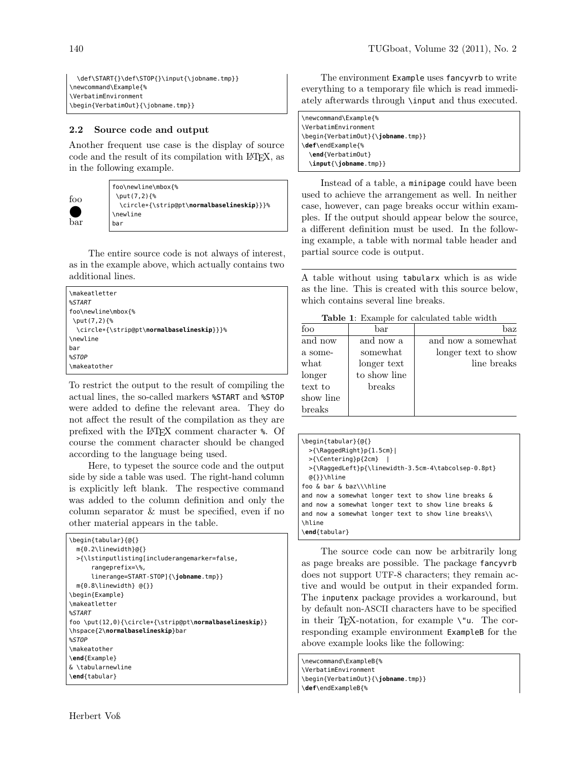\def\START{}\def\STOP{}\input{\jobname.tmp}} \newcommand\Example{% \VerbatimEnvironment \begin{VerbatimOut}{\jobname.tmp}}

# 2.2 Source code and output

Another frequent use case is the display of source code and the result of its compilation with LATEX, as in the following example.



foo\newline\mbox{% \put(7,2){% \circle\*{\strip@pt\**normalbaselineskip**}}}% \newline bar

The entire source code is not always of interest, as in the example above, which actually contains two additional lines.

| \makeatletter                                      |
|----------------------------------------------------|
| %START                                             |
| foo\newline\mbox{%                                 |
| \put(7,2){%                                        |
| \circle*{\strip@pt\ <b>normalbaselineskip</b> }}}% |
| \newline                                           |
| bar                                                |
| %STOP                                              |
| \makeatother                                       |

To restrict the output to the result of compiling the actual lines, the so-called markers %START and %STOP were added to define the relevant area. They do not affect the result of the compilation as they are prefixed with the LATEX comment character %. Of course the comment character should be changed according to the language being used.

Here, to typeset the source code and the output side by side a table was used. The right-hand column is explicitly left blank. The respective command was added to the column definition and only the column separator & must be specified, even if no other material appears in the table.

| \begin{tabular}{@{}<br>$m\{0.2\backslash$ linewidth $\{0\}$<br>>{\lstinputlisting[includerangemarker=false,<br>$rangeprefix = \$ ,<br>$linerange = \frac{START - STOP}{\{ \to \text{obname.tmp}} \}$ |
|------------------------------------------------------------------------------------------------------------------------------------------------------------------------------------------------------|
| $m\{0.8\backslash$ linewidth} $@{}$ {}}                                                                                                                                                              |
| \begin{Example}                                                                                                                                                                                      |
| \makeatletter                                                                                                                                                                                        |
| %START                                                                                                                                                                                               |
| foo \put(12,0){\circle*{\strip@pt\ <b>normalbaselineskip</b> }}                                                                                                                                      |
| \hspace{2\ <b>normalbaselineskip</b> }bar                                                                                                                                                            |
| %STOP                                                                                                                                                                                                |
| \makeatother                                                                                                                                                                                         |
| \end{Example}                                                                                                                                                                                        |
| & \tabularnewline                                                                                                                                                                                    |
| \end{tabular}                                                                                                                                                                                        |

The environment Example uses fancyvrb to write everything to a temporary file which is read immediately afterwards through \input and thus executed.

\newcommand\Example{% \VerbatimEnvironment \begin{VerbatimOut}{\**jobname**.tmp}} \**def**\endExample{% \**end**{VerbatimOut} \**input**{\**jobname**.tmp}}

Instead of a table, a minipage could have been used to achieve the arrangement as well. In neither case, however, can page breaks occur within examples. If the output should appear below the source, a different definition must be used. In the following example, a table with normal table header and partial source code is output.

A table without using tabularx which is as wide as the line. This is created with this source below, which contains several line breaks.

Table 1: Example for calculated table width

| foo       | bar          | baz                 |
|-----------|--------------|---------------------|
| and now   | and now a    | and now a somewhat  |
| a some-   | somewhat     | longer text to show |
| what      | longer text  | line breaks         |
| longer    | to show line |                     |
| text to   | breaks       |                     |
| show line |              |                     |
| breaks    |              |                     |

| \begin{tabular}{@{}                                  |  |  |
|------------------------------------------------------|--|--|
| $>\{\lambda\}$ RaqqedRight $\}$ p $\{1.5cm\}$        |  |  |
| >{\Centering}p{2cm}                                  |  |  |
| >{\RaqqedLeft}p{\linewidth-3.5cm-4\tabcolsep-0.8pt}  |  |  |
| @{}}\hline                                           |  |  |
| foo & bar & baz\\\hline                              |  |  |
| and now a somewhat longer text to show line breaks & |  |  |
| and now a somewhat longer text to show line breaks & |  |  |
| and now a somewhat longer text to show line breaks\\ |  |  |
| <b>\hline</b>                                        |  |  |
| \end{tabular}                                        |  |  |

The source code can now be arbitrarily long as page breaks are possible. The package fancyvrb does not support UTF-8 characters; they remain active and would be output in their expanded form. The inputenx package provides a workaround, but by default non-ASCII characters have to be specified in their TEX-notation, for example \"u. The corresponding example environment ExampleB for the above example looks like the following:

\newcommand\ExampleB{% \VerbatimEnvironment \begin{VerbatimOut}{\**jobname**.tmp}} \**def**\endExampleB{%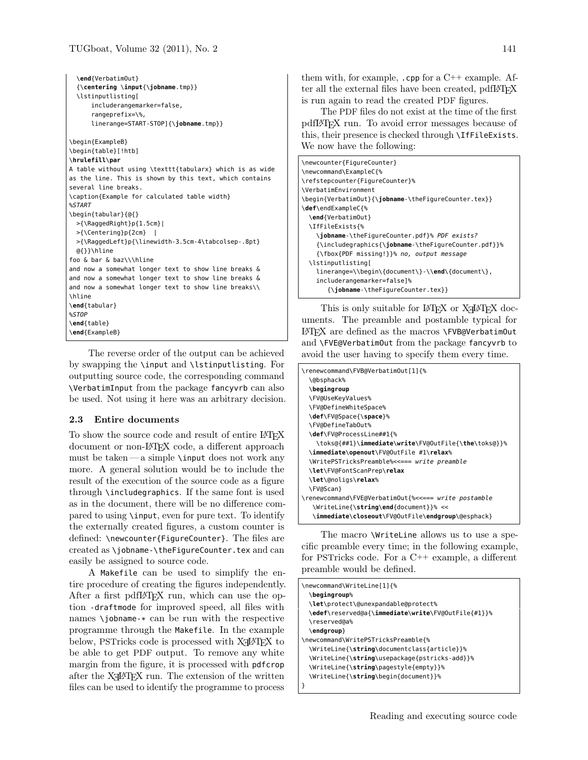```
\end{VerbatimOut}
  {\centering \input{\jobname.tmp}}
  \lstinputlisting[
      includerangemarker=false,
      rangeprefix=\%,
      linerange=START-STOP]{\jobname.tmp}}
\begin{ExampleB}
\begin{table}[!htb]
\hrulefill\par
A table without using \texttt{tabularx} which is as wide
as the line. This is shown by this text, which contains
several line breaks.
\caption{Example for calculated table width}
%START
\begin{tabular}{@{}
 >{\RaggedRight}p{1.5cm}|
 >{\Centering}p{2cm} |
 >{\RaggedLeft}p{\linewidth-3.5cm-4\tabcolsep-.8pt}
 @{}}\hline
foo & bar & baz\\\hline
and now a somewhat longer text to show line breaks &
and now a somewhat longer text to show line breaks &
and now a somewhat longer text to show line breaks\\
\hline
\end{tabular}
%STOP
\end{table}
\end{ExampleB}
```
The reverse order of the output can be achieved by swapping the \input and \lstinputlisting. For outputting source code, the corresponding command \VerbatimInput from the package fancyvrb can also be used. Not using it here was an arbitrary decision.

### 2.3 Entire documents

To show the source code and result of entire LAT<sub>EX</sub> document or non-LATEX code, a different approach must be taken — a simple  $\infty$  does not work any more. A general solution would be to include the result of the execution of the source code as a figure through \includegraphics. If the same font is used as in the document, there will be no difference compared to using \input, even for pure text. To identify the externally created figures, a custom counter is defined: \newcounter{FigureCounter}. The files are created as \jobname-\theFigureCounter.tex and can easily be assigned to source code.

A Makefile can be used to simplify the entire procedure of creating the figures independently. After a first pdfI $ATFX$  run, which can use the option -draftmode for improved speed, all files with names \jobname-\* can be run with the respective programme through the Makefile. In the example below, PSTricks code is processed with  $X \rightarrow Y$  to be able to get PDF output. To remove any white margin from the figure, it is processed with pdfcrop after the  $X \rightarrow Y$  run. The extension of the written files can be used to identify the programme to process

them with, for example,  $\mathfrak{c}$  cpp for a  $C++$  example. After all the external files have been created, pdfL<sup>AT</sup>FX is run again to read the created PDF figures.

The PDF files do not exist at the time of the first pdfLATEX run. To avoid error messages because of this, their presence is checked through \IfFileExists. We now have the following:

| \newcounter{FigureCounter}                                   |
|--------------------------------------------------------------|
| \newcommand\ExampleC{%                                       |
| \refstepcounter{FigureCounter}%                              |
| \VerbatimEnvironment                                         |
| \begin{VerbatimOut}{\jobname-\theFigureCounter.tex}}         |
| \def\endExampleC{%                                           |
| \end{VerbatimOut}                                            |
| \IfFileExists{%                                              |
| \iobname-\theFiqureCounter.pdf}% PDF exists?                 |
| {\includegraphics{\ <b>jobname</b> -\theFigureCounter.pdf}}% |
| {\fbox{PDF missing!}}% no, output message                    |
| \lstinputlisting[                                            |
| linerange=\\begin\{document\}-\\ <b>end</b> \{document\},    |
| includerangemarker=false]%                                   |
|                                                              |

This is only suitable for  $L^2T$ EX or  $X \rightarrow L^2T$ EX documents. The preamble and postamble typical for LATEX are defined as the macros \FVB@VerbatimOut and \FVE@VerbatimOut from the package fancyvrb to avoid the user having to specify them every time.

| \renewcommand\FVB@VerbatimOut[1]{%                   |
|------------------------------------------------------|
| \@bsphack%                                           |
| \begingroup                                          |
| \FV@UseKeyValues%                                    |
| \FV@DefineWhiteSpace%                                |
| \def\FV@Space{\space}%                               |
| \FV@DefineTabOut%                                    |
| \ <b>def</b> \FV@ProcessLine##1{%                    |
| \toks@{##1}\immediate\write\FV@OutFile{\the\toks@}}% |
| \immediate\openout\FV@OutFile #1\relax%              |
| \WritePSTricksPreamble%<<=== write preamble          |
| \ <b>let</b> \FV@FontScanPrep\ <b>relax</b>          |
| \ <b>let</b> \@noligs\ <b>relax</b> %                |
| \FV@Scan}                                            |
| \renewcommand\FVE@VerbatimOut{%<<=== write postamble |
| \WriteLine{\string\end{document}}% <<                |
| \immediate\closeout\FV@OutFile\endgroup\@esphack}    |

The macro \WriteLine allows us to use a specific preamble every time; in the following example, for PSTricks code. For a C++ example, a different preamble would be defined.

| \newcommand\WriteLine[1]{%                         |
|----------------------------------------------------|
| <b>\begingroup%</b>                                |
| \let\protect\@unexpandable@protect%                |
| \edef\reserved@a{\immediate\write\FV@OutFile{#1}}% |
| \reserved@a%                                       |
| $\end{qroup}$                                      |
| \newcommand\WritePSTricksPreamble{%                |
| \WriteLine{\string\documentclass{article}}%        |
| \WriteLine{\string\usepackage{pstricks-add}}%      |
| \WriteLine{\string\pagestyle{empty}}%              |
| \WriteLine{\string\begin{document}}%               |
|                                                    |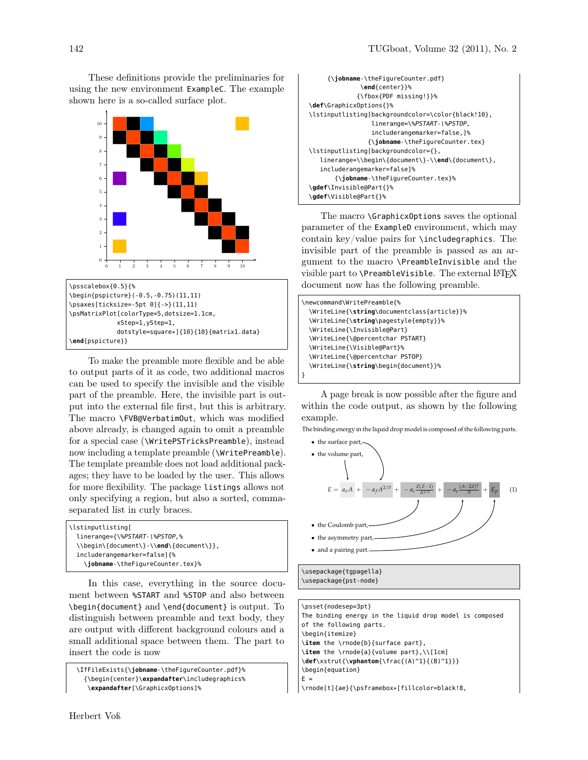These definitions provide the preliminaries for using the new environment ExampleC. The example shown here is a so-called surface plot.



\psscalebox{0.5}{% \begin{pspicture}(-0.5,-0.75)(11,11) \psaxes[ticksize=-5pt 0]{->}(11,11) \psMatrixPlot[colorType=5,dotsize=1.1cm, xStep=1,yStep=1, dotstyle=square\*]{10}{10}{matrix1.data} \**end**{pspicture}}

To make the preamble more flexible and be able to output parts of it as code, two additional macros can be used to specify the invisible and the visible part of the preamble. Here, the invisible part is output into the external file first, but this is arbitrary. The macro \FVB@VerbatimOut, which was modified above already, is changed again to omit a preamble for a special case (\WritePSTricksPreamble), instead now including a template preamble (\WritePreamble). The template preamble does not load additional packages; they have to be loaded by the user. This allows for more flexibility. The package listings allows not only specifying a region, but also a sorted, commaseparated list in curly braces.

In this case, everything in the source document between %START and %STOP and also between \begin{document} and \end{document} is output. To distinguish between preamble and text body, they are output with different background colours and a small additional space between them. The part to insert the code is now

```
\IfFileExists{\jobname-\theFigureCounter.pdf}%
  {\begin{center}\expandafter\includegraphics%
   \expandafter[\GraphicxOptions]%
```

```
{\jobname-\theFigureCounter.pdf}
              \end{center}}%
             {\fbox{PDF missing!}}%
\def\GraphicxOptions{}%
\lstinputlisting[backgroundcolor=\color{black!10},
                 linerange=\%PSTART-\%PSTOP,
                 includerangemarker=false,]%
                {\jobname-\theFigureCounter.tex}
\lstinputlisting[backgroundcolor={},
  linerange=\\begin\{document\}-\\end\{document\},
  includerangemarker=false]%
       {\jobname-\theFigureCounter.tex}%
\gdef\Invisible@Part{}%
\gdef\Visible@Part{}%
```
The macro \GraphicxOptions saves the optional parameter of the ExampleD environment, which may contain key/value pairs for \includegraphics. The invisible part of the preamble is passed as an argument to the macro \PreambleInvisible and the visible part to  $\Perb{P}$  reambleVisible. The external  $\operatorname{\mathbb{F}T} X$ document now has the following preamble.

| \newcommand\WritePreamble{%                 |
|---------------------------------------------|
| \WriteLine{\string\documentclass{article}}% |
| \WriteLine{\string\pagestyle{empty}}%       |
| \WriteLine{\Invisible@Part}                 |
| \WriteLine{\@percentchar PSTART}            |
| \WriteLine{\Visible@Part}%                  |
| \WriteLine{\@percentchar PSTOP}             |
| \WriteLine{\string\begin{document}}%        |
|                                             |

A page break is now possible after the figure and within the code output, as shown by the following example.

The binding energy in the liquid drop model is composed of the following parts.



| \psset{nodesep=3pt}                                     |  |  |  |
|---------------------------------------------------------|--|--|--|
| The binding energy in the liguid drop model is composed |  |  |  |
| of the following parts.                                 |  |  |  |
| \begin{itemize}                                         |  |  |  |
| \item the \rnode{b}{surface part},                      |  |  |  |
| $\item$ the \rnode{a}{volume part}, \\[1cm]             |  |  |  |
| \def\xstrut{\vphantom{\frac{(A)^1}{(B)^1}}}             |  |  |  |
| \begin{equation}                                        |  |  |  |
| $F =$                                                   |  |  |  |
| \rnode[t]{ae}{\psframebox*[fillcolor=black!8,           |  |  |  |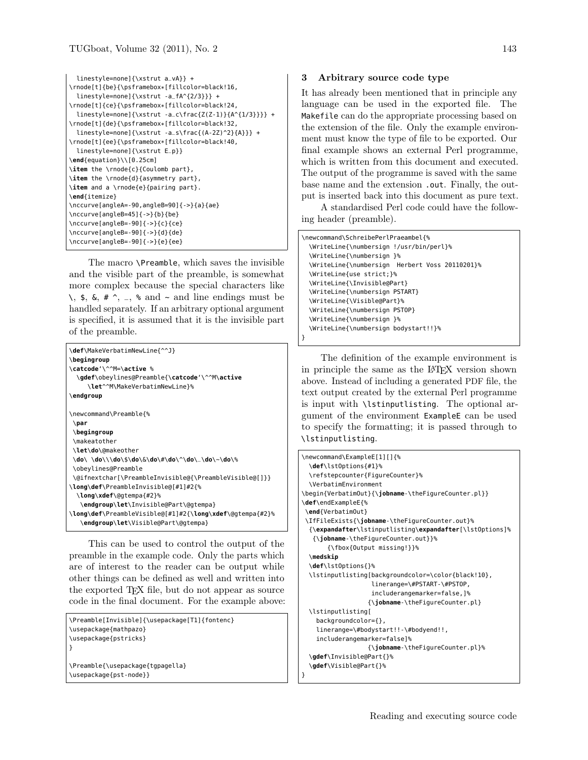```
linestyle=none]{\xstrut a_vA}} +
\rnode[t]{be}{\psframebox*[fillcolor=black!16,
  linestyle=none]{\xstrut -a_fA^{2/3}}} +
\rnode[t]{ce}{\psframebox*[fillcolor=black!24,
  lines linestyle=none]{\xstrut -a_c\frac{Z(Z-1)}{A^{1/3}}}} +
\rnode[t]{de}{\psframebox*[fillcolor=black!32,
 linestyle=none]{\xstrut -a_s\frac{(A-2Z)^2}{A}}} +
\rnode[t]{ee}{\psframebox*[fillcolor=black!40,
 linestyle=none]{\xstrut E_p}}
\end{equation}\\[0.25cm]
\item the \rnode{c}{Coulomb part},
\item the \rnode{d}{asymmetry part},
\item and a \rnode{e}{pairing part}.
\end{itemize}
\nccurve[angleA=-90,angleB=90]{->}{a}{ae}
\nccurve[angleB=45]{->}{b}{be}
\nccurve[angleB=-90]{->}{c}{ce}
\nccurve[angleB=-90]{->}{d}{de}
\nccurve[angleB=-90]{->}{e}{ee}
```
The macro \Preamble, which saves the invisible and the visible part of the preamble, is somewhat more complex because the special characters like  $\lambda$ , \$, &, #  $\lambda$ ,  $\lambda$ ,  $\delta$  and  $\lambda$  and line endings must be handled separately. If an arbitrary optional argument is specified, it is assumed that it is the invisible part of the preamble.

```
\def\MakeVerbatimNewLine{^^J}
\begingroup
\catcode'\^^M=\active %
  \gdef\obeylines@Preamble{\catcode'\^^M\active
    \let^^M\MakeVerbatimNewLine}%
\endgroup
\newcommand\Preamble{%
\par
\begingroup
\makeatother
\let\do\@makeother
\do\ \do\\\do\$\do\&\do\#\do\^\do\_\do\~\do\%
\obeylines@Preamble
\@ifnextchar[\PreambleInvisible@{\PreambleVisible@[]}}
\long\def\PreambleInvisible@[#1]#2{%
 \long\xdef\@gtempa{#2}%
   \endgroup\let\Invisible@Part\@gtempa}
\long\def\PreambleVisible@[#1]#2{\long\xdef\@gtempa{#2}%
   \endgroup\let\Visible@Part\@gtempa}
```
This can be used to control the output of the preamble in the example code. Only the parts which are of interest to the reader can be output while other things can be defined as well and written into the exported T<sub>F</sub>X file, but do not appear as source code in the final document. For the example above:

```
\Preamble[Invisible]{\usepackage[T1]{fontenc}
\usepackage{mathpazo}
\usepackage{pstricks}
}
\Preamble{\usepackage{tgpagella}
\usepackage{pst-node}}
```
### 3 Arbitrary source code type

It has already been mentioned that in principle any language can be used in the exported file. The Makefile can do the appropriate processing based on the extension of the file. Only the example environment must know the type of file to be exported. Our final example shows an external Perl programme, which is written from this document and executed. The output of the programme is saved with the same base name and the extension .out. Finally, the output is inserted back into this document as pure text.

A standardised Perl code could have the following header (preamble).

```
\newcommand\SchreibePerlPraeambel{%
 \WriteLine{\numbersign !/usr/bin/perl}%
 \WriteLine{\numbersign }%
 \WriteLine{\numbersign Herbert Voss 20110201}%
 \WriteLine{use strict;}%
 \WriteLine{\Invisible@Part}
 \WriteLine{\numbersign PSTART}
 \WriteLine{\Visible@Part}%
 \WriteLine{\numbersign PSTOP}
 \WriteLine{\numbersign }%
 \WriteLine{\numbersign bodystart!!}%
}
```
The definition of the example environment is in principle the same as the LATEX version shown above. Instead of including a generated PDF file, the text output created by the external Perl programme is input with \lstinputlisting. The optional argument of the environment ExampleE can be used to specify the formatting; it is passed through to \lstinputlisting.

```
\newcommand\ExampleE[1][]{%
 \def\lstOptions{#1}%
 \refstepcounter{FigureCounter}%
 \VerbatimEnvironment
\begin{VerbatimOut}{\jobname-\theFigureCounter.pl}}
\def\endExampleE{%
 \end{VerbatimOut}
\IfFileExists{\jobname-\theFigureCounter.out}%
 {\expandafter\lstinputlisting\expandafter[\lstOptions]%
   {\jobname-\theFigureCounter.out}}%
      {\fbox{Output missing!}}%
 \medskip
 \def\lstOptions{}%
 \lstinputlisting[backgroundcolor=\color{black!10},
                   linerange=\#PSTART-\#PSTOP,
                   includerangemarker=false,]%
                  {\jobname-\theFigureCounter.pl}
 \lstinputlisting[
   backgroundcolor={},
   linerange=\#bodystart!!-\#bodyend!!,
   includerangemarker=false]%
                 {\jobname-\theFigureCounter.pl}%
 \gdef\Invisible@Part{}%
  \gdef\Visible@Part{}%
}
```